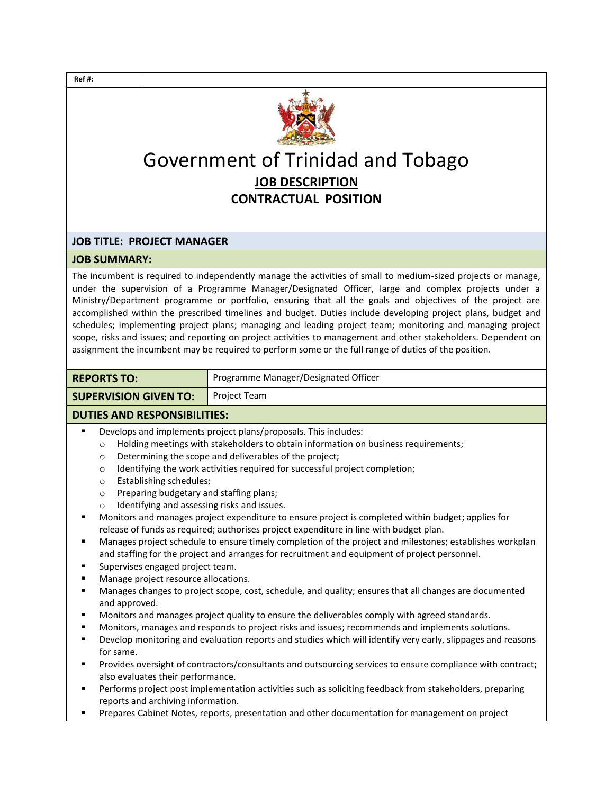

## Government of Trinidad and Tobago **JOB DESCRIPTION CONTRACTUAL POSITION**

## **JOB TITLE: PROJECT MANAGER**

## **JOB SUMMARY:**

The incumbent is required to independently manage the activities of small to medium-sized projects or manage, under the supervision of a Programme Manager/Designated Officer, large and complex projects under a Ministry/Department programme or portfolio, ensuring that all the goals and objectives of the project are accomplished within the prescribed timelines and budget. Duties include developing project plans, budget and schedules; implementing project plans; managing and leading project team; monitoring and managing project scope, risks and issues; and reporting on project activities to management and other stakeholders. Dependent on assignment the incumbent may be required to perform some or the full range of duties of the position.

| <b>REPORTS TO:</b>           | Programme Manager/Designated Officer |
|------------------------------|--------------------------------------|
| <b>SUPERVISION GIVEN TO:</b> | Project Team                         |

## **DUTIES AND RESPONSIBILITIES:**

- Develops and implements project plans/proposals. This includes:
	- o Holding meetings with stakeholders to obtain information on business requirements;
	- o Determining the scope and deliverables of the project;
	- o Identifying the work activities required for successful project completion;
	- o Establishing schedules;
	- o Preparing budgetary and staffing plans;
	- o Identifying and assessing risks and issues.
- Monitors and manages project expenditure to ensure project is completed within budget; applies for release of funds as required; authorises project expenditure in line with budget plan.
- Manages project schedule to ensure timely completion of the project and milestones; establishes workplan and staffing for the project and arranges for recruitment and equipment of project personnel.
- Supervises engaged project team.
- Manage project resource allocations.
- Manages changes to project scope, cost, schedule, and quality; ensures that all changes are documented and approved.
- Monitors and manages project quality to ensure the deliverables comply with agreed standards.
- Monitors, manages and responds to project risks and issues; recommends and implements solutions.
- Develop monitoring and evaluation reports and studies which will identify very early, slippages and reasons for same.
- Provides oversight of contractors/consultants and outsourcing services to ensure compliance with contract; also evaluates their performance.
- Performs project post implementation activities such as soliciting feedback from stakeholders, preparing reports and archiving information.
- Prepares Cabinet Notes, reports, presentation and other documentation for management on project

**Ref #:**